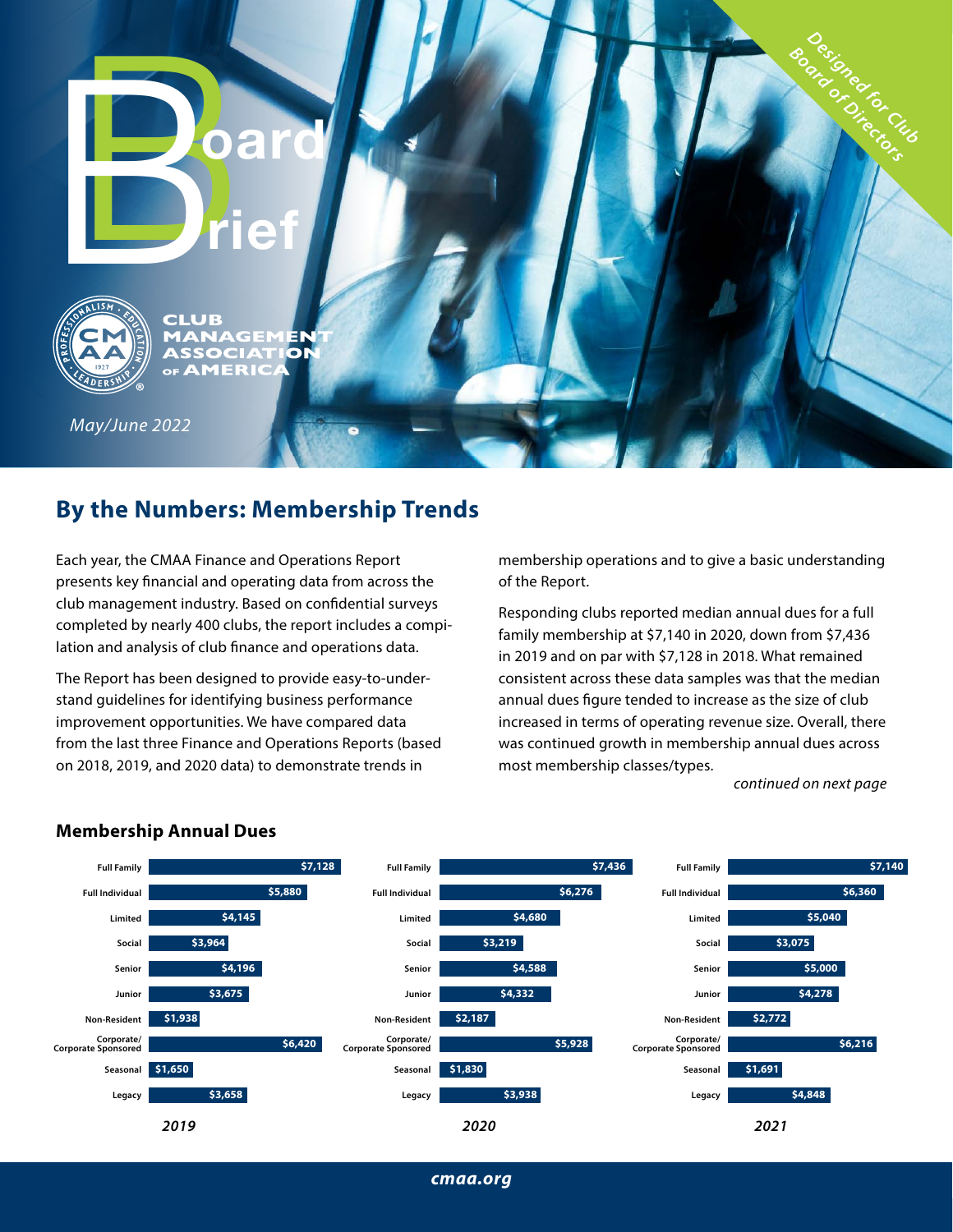# **Board**<br> **Board**<br> **Board**<br> **Board rief**



GEM н. CIA bг  $\mathbf{T}$ OF AMERIC

*May/June 2022*

# **By the Numbers: Membership Trends**

Each year, the CMAA Finance and Operations Report presents key financial and operating data from across the club management industry. Based on confidential surveys completed by nearly 400 clubs, the report includes a compilation and analysis of club finance and operations data.

The Report has been designed to provide easy-to-understand guidelines for identifying business performance improvement opportunities. We have compared data from the last three Finance and Operations Reports (based on 2018, 2019, and 2020 data) to demonstrate trends in

membership operations and to give a basic understanding of the Report.

Responding clubs reported median annual dues for a full family membership at \$7,140 in 2020, down from \$7,436 in 2019 and on par with \$7,128 in 2018. What remained consistent across these data samples was that the median annual dues figure tended to increase as the size of club increased in terms of operating revenue size. Overall, there was continued growth in membership annual dues across most membership classes/types.

*[continued on next page](#page-1-0)*

Designed for Cub Board of Directors



#### **Membership Annual Dues**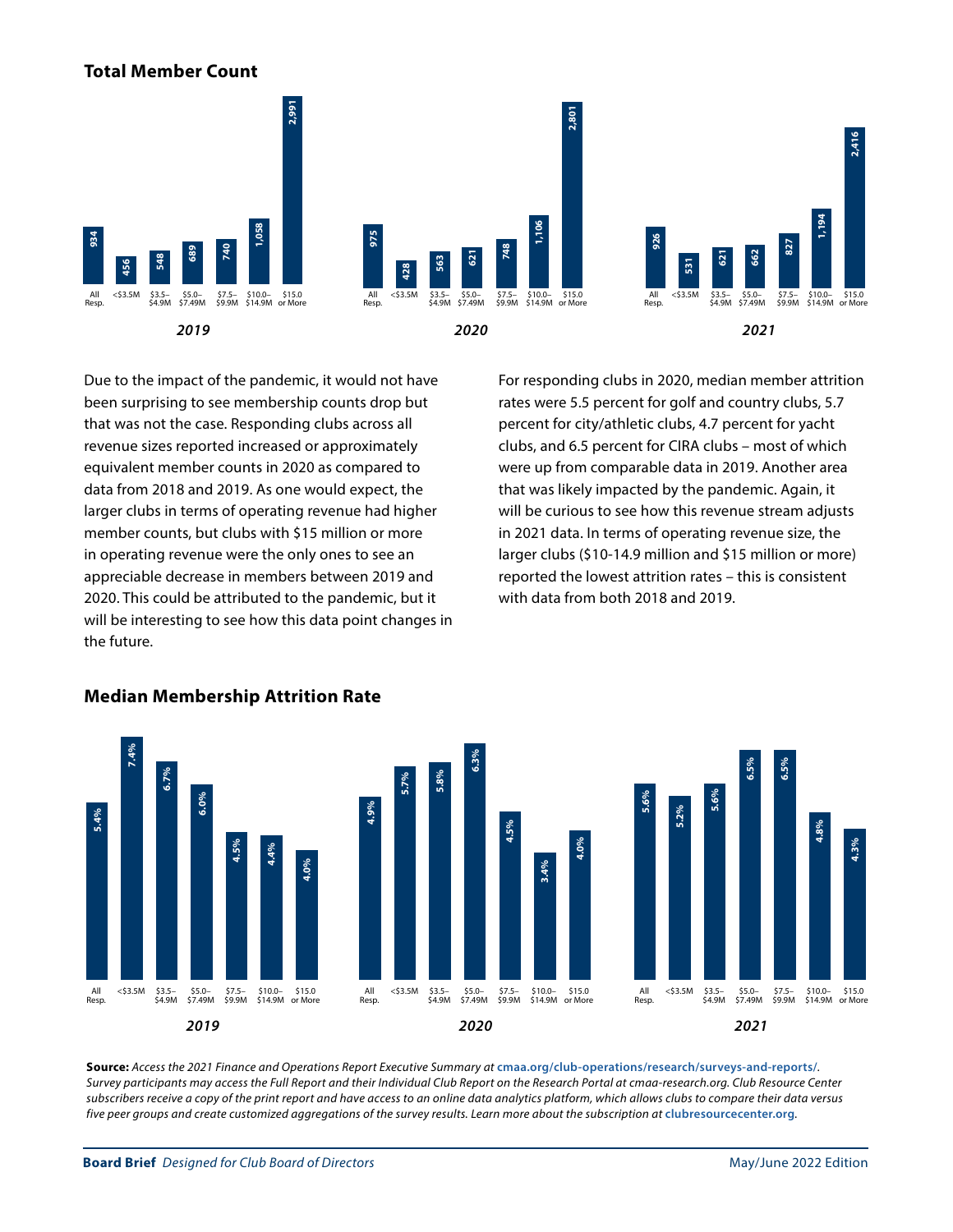#### <span id="page-1-0"></span>**Total Member Count**



Due to the impact of the pandemic, it would not have **2,991** been surprising to see membership counts drop but that was not the case. Responding clubs across all revenue sizes reported increased or approximately equivalent member counts in 2020 as compared to data from 2018 and 2019. As one would expect, the **7.4%** larger clubs in terms of operating revenue had higher **6.7% 5.7% 5.8% 934** member counts, but clubs with \$15 million or more **6.0% 4.9% 456 548 428 Sall the same were the only ones to see an all operating revenue were the only ones to see an** appreciable decrease in members between 2019 and 2020. This could be attributed to the pandemic, but it **4.0%** will be interesting to see how this data point changes in the future. erms c As one would expe<br>Perating revenue ba

For responding clubs in 2020, median member attrition rates were 5.5 percent for golf and country clubs, 5.7 percent for city/athletic clubs, 4.7 percent for yacht clubs, and 6.5 percent for CIRA clubs – most of which were up from comparable data in 2019. Another area that was likely impacted by the pandemic. Again, it **6.5% 6.5% 1,106 1,194** will be curious to see how this revenue stream adjusts **748 926 827** in 2021 data. In terms of operating revenue size, the **5.6% 5.6% 531 621 662** larger clubs (\$10-14.9 million and \$15 million or more) **4.5%** reported the lowest attrition rates – this is consistent with data from both 2018 and 2019. **3.4% 5.2%** larger clubs (\$10-14.9 million and \$15 million or more)



#### **Median Membership Attrition Rate**

**Source:** *Access the 2021 Finance and Operations Report Executive Summary at* **[cmaa.org/club-operations/research/surveys-and-reports/](https://www.cmaa.org/club-operations/research/surveys-and-reports/)***. Survey participants may access the Full Report and their Individual Club Report on the Research Portal at cmaa-research.org. Club Resource Center subscribers receive a copy of the print report and have access to an online data analytics platform, which allows clubs to compare their data versus*  five peer groups and create customized aggregations of the survey results. Learn more about the subscription at [clubresourcecenter.org](http://clubresourcecenter.org).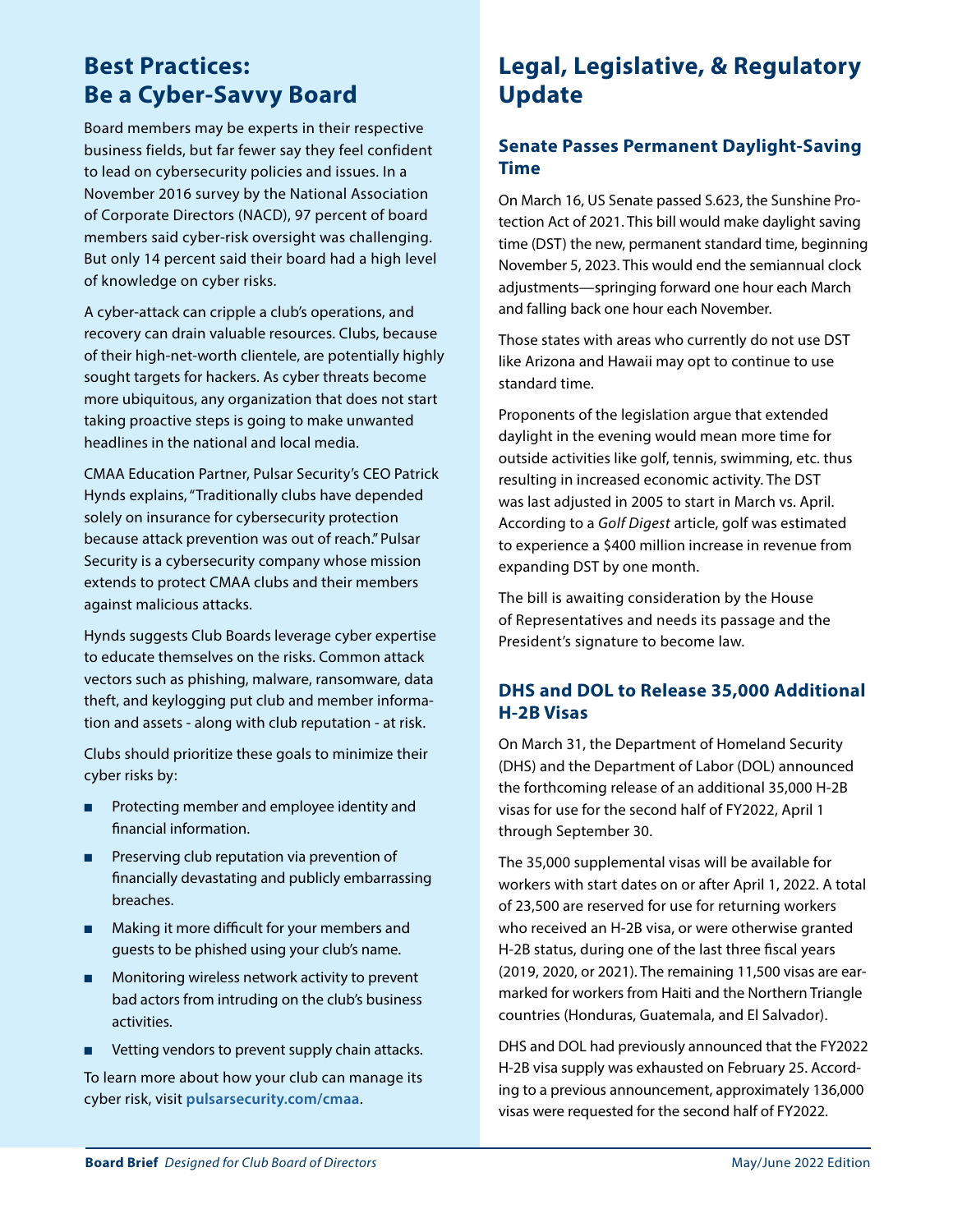## **Best Practices: Be a Cyber-Savvy Board**

Board members may be experts in their respective business fields, but far fewer say they feel confident to lead on cybersecurity policies and issues. In a November 2016 survey by the National Association of Corporate Directors (NACD), 97 percent of board members said cyber-risk oversight was challenging. But only 14 percent said their board had a high level of knowledge on cyber risks.

A cyber-attack can cripple a club's operations, and recovery can drain valuable resources. Clubs, because of their high-net-worth clientele, are potentially highly sought targets for hackers. As cyber threats become more ubiquitous, any organization that does not start taking proactive steps is going to make unwanted headlines in the national and local media.

CMAA Education Partner, Pulsar Security's CEO Patrick Hynds explains, "Traditionally clubs have depended solely on insurance for cybersecurity protection because attack prevention was out of reach." Pulsar Security is a cybersecurity company whose mission extends to protect CMAA clubs and their members against malicious attacks.

Hynds suggests Club Boards leverage cyber expertise to educate themselves on the risks. Common attack vectors such as phishing, malware, ransomware, data theft, and keylogging put club and member information and assets - along with club reputation - at risk.

Clubs should prioritize these goals to minimize their cyber risks by:

- Protecting member and employee identity and financial information.
- Preserving club reputation via prevention of financially devastating and publicly embarrassing breaches.
- Making it more difficult for your members and guests to be phished using your club's name.
- Monitoring wireless network activity to prevent bad actors from intruding on the club's business activities.
- Vetting vendors to prevent supply chain attacks.

To learn more about how your club can manage its cyber risk, visit **[pulsarsecurity.com/cmaa](http://www.pulsarsecurity.com/cmaa)**.

## **Legal, Legislative, & Regulatory Update**

## **Senate Passes Permanent Daylight-Saving Time**

On March 16, US Senate passed S.623, the Sunshine Protection Act of 2021. This bill would make daylight saving time (DST) the new, permanent standard time, beginning November 5, 2023. This would end the semiannual clock adjustments—springing forward one hour each March and falling back one hour each November.

Those states with areas who currently do not use DST like Arizona and Hawaii may opt to continue to use standard time.

Proponents of the legislation argue that extended daylight in the evening would mean more time for outside activities like golf, tennis, swimming, etc. thus resulting in increased economic activity. The DST was last adjusted in 2005 to start in March vs. April. According to a *Golf Digest* article, golf was estimated to experience a \$400 million increase in revenue from expanding DST by one month.

The bill is awaiting consideration by the House of Representatives and needs its passage and the President's signature to become law.

## **DHS and DOL to Release 35,000 Additional H-2B Visas**

On March 31, the Department of Homeland Security (DHS) and the Department of Labor (DOL) announced the forthcoming release of an additional 35,000 H-2B visas for use for the second half of FY2022, April 1 through September 30.

The 35,000 supplemental visas will be available for workers with start dates on or after April 1, 2022. A total of 23,500 are reserved for use for returning workers who received an H-2B visa, or were otherwise granted H-2B status, during one of the last three fiscal years (2019, 2020, or 2021). The remaining 11,500 visas are earmarked for workers from Haiti and the Northern Triangle countries (Honduras, Guatemala, and El Salvador).

DHS and DOL had previously announced that the FY2022 H-2B visa supply was exhausted on February 25. According to a previous announcement, approximately 136,000 visas were requested for the second half of FY2022.